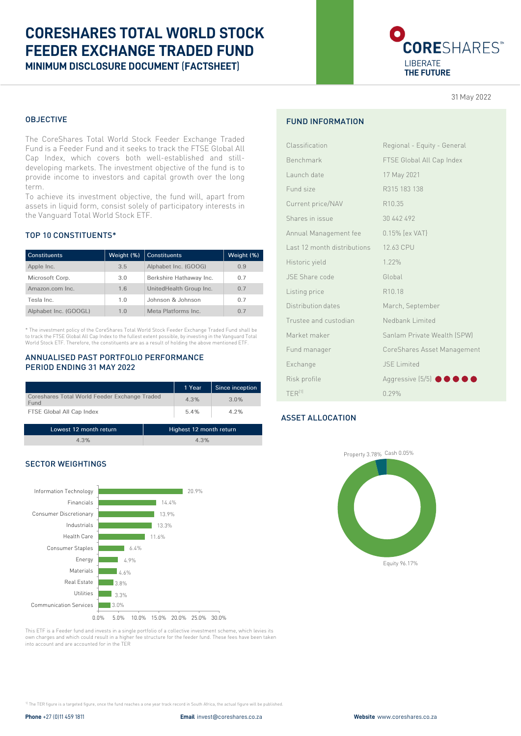# **CORESHARES TOTAL WORLD STOCK FEEDER EXCHANGE TRADED FUND MINIMUM DISCLOSURE DOCUMENT** (**FACTSHEET**)



31 May 2022

## OBJECTIVE

The CoreShares Total World Stock Feeder Exchange Traded Fund is a Feeder Fund and it seeks to track the FTSE Global All Cap Index, which covers both well-established and stilldeveloping markets. The investment objective of the fund is to provide income to investors and capital growth over the long term.

To achieve its investment objective, the fund will, apart from assets in liquid form, consist solely of participatory interests in the Vanguard Total World Stock ETF.

## TOP 10 CONSTITUENTS\*

| <b>Constituents</b>   | Weight (%) | <b>Constituents</b>     | Weight (%)     |
|-----------------------|------------|-------------------------|----------------|
| Apple Inc.            | 3.5        | Alphabet Inc. (GOOG)    | 0.9            |
| Microsoft Corp.       | 3.0        | Berkshire Hathaway Inc. | 07             |
| Amazon.com Inc.       | 1.6        | UnitedHealth Group Inc. | 0.7            |
| Tesla Inc.            | 1.0        | Johnson & Johnson       | 07             |
| Alphabet Inc. (GOOGL) | 1.0        | Meta Platforms Inc.     | 0 <sub>7</sub> |

\* The investment policy of the CoreShares Total World Stock Feeder Exchange Traded Fund shall be to track the FTSE Global All Cap Index to the fullest extent possible, by investing in the Vanguard Total World Stock ETF. Therefore, the constituents are as a result of holding the above mentioned ETF.

#### ANNUALISED PAST PORTFOLIO PERFORMANCE PERIOD ENDING 31 MAY 2022

|                                                       | 1 Year | Since inception |
|-------------------------------------------------------|--------|-----------------|
| Coreshares Total World Feeder Exchange Traded<br>Fund | 4.3%   | 3.0%            |
| FTSE Global All Cap Index                             | 5.4%   | 4.2%            |

| Lowest 12 month return | Highest 12 month return |
|------------------------|-------------------------|
| 4.3%                   | 4.3%                    |

## SECTOR WEIGHTINGS



This ETF is a Feeder fund and invests in a single portfolio of a collective investment scheme, which levies its own charges and which could result in a higher fee structure for the feeder fund. These fees have been taken into account and are accounted for in the TER

FUND INFORMATION

| Classification              | Regional - Equity - General |
|-----------------------------|-----------------------------|
| Benchmark                   | FTSE Global All Cap Index   |
| Launch date                 | 17 May 2021                 |
| Fund size                   | R315 183 138                |
| Current price/NAV           | R10.35                      |
| Shares in issue             | 30 442 492                  |
| Annual Management fee       | 0.15% [ex VAT]              |
| Last 12 month distributions | 12.63 CPU                   |
| Historic yield              | 1.22%                       |
| JSE Share code              | Global                      |
| Listing price               | R <sub>10.18</sub>          |
| Distribution dates          | March, September            |
| Trustee and custodian       | Nedbank Limited             |
| Market maker                | Sanlam Private Wealth (SPW) |
| Fund manager                | CoreShares Asset Management |
| Exchange                    | <b>JSE Limited</b>          |
| Risk profile                | Aggressive (5/5) ● ● ● ●    |
| $TFR^{(1)}$                 | 0.29%                       |

## ASSET ALLOCATION



1) The TER figure is a targeted figure, once the fund reaches a one year track record in South Africa, the actual figure will be published.